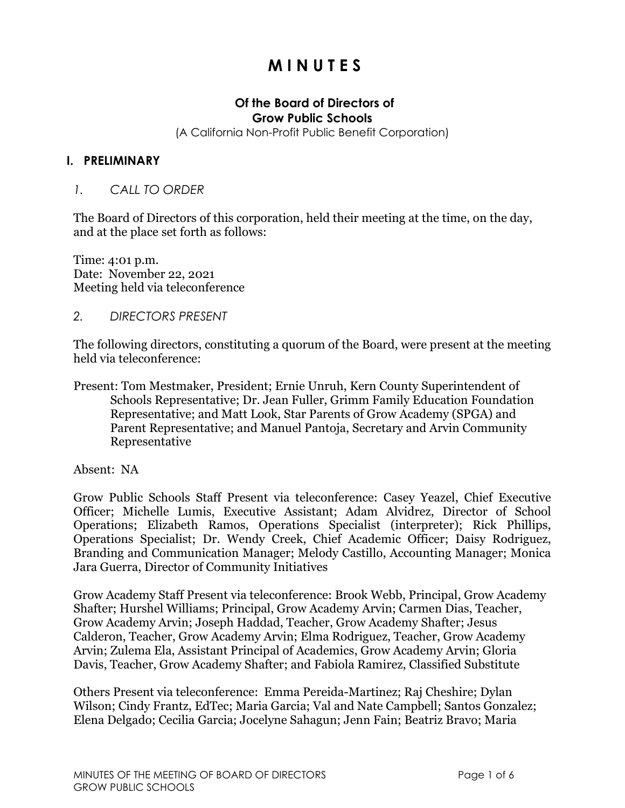# **M I N U T E S**

#### **Of the Board of Directors of Grow Public Schools**

(A California Non-Profit Public Benefit Corporation)

#### **I. PRELIMINARY**

#### *1. CALL TO ORDER*

The Board of Directors of this corporation, held their meeting at the time, on the day, and at the place set forth as follows:

Time: 4:01 p.m. Date: November 22, 2021 Meeting held via teleconference

*2. DIRECTORS PRESENT*

The following directors, constituting a quorum of the Board, were present at the meeting held via teleconference:

Present: Tom Mestmaker, President; Ernie Unruh, Kern County Superintendent of Schools Representative; Dr. Jean Fuller, Grimm Family Education Foundation Representative; and Matt Look, Star Parents of Grow Academy (SPGA) and Parent Representative; and Manuel Pantoja, Secretary and Arvin Community Representative

Absent: NA

Grow Public Schools Staff Present via teleconference: Casey Yeazel, Chief Executive Officer; Michelle Lumis, Executive Assistant; Adam Alvidrez, Director of School Operations; Elizabeth Ramos, Operations Specialist (interpreter); Rick Phillips, Operations Specialist; Dr. Wendy Creek, Chief Academic Officer; Daisy Rodriguez, Branding and Communication Manager; Melody Castillo, Accounting Manager; Monica Jara Guerra, Director of Community Initiatives

Grow Academy Staff Present via teleconference: Brook Webb, Principal, Grow Academy Shafter; Hurshel Williams; Principal, Grow Academy Arvin; Carmen Dias, Teacher, Grow Academy Arvin; Joseph Haddad, Teacher, Grow Academy Shafter; Jesus Calderon, Teacher, Grow Academy Arvin; Elma Rodriguez, Teacher, Grow Academy Arvin; Zulema Ela, Assistant Principal of Academics, Grow Academy Arvin; Gloria Davis, Teacher, Grow Academy Shafter; and Fabiola Ramirez, Classified Substitute

Others Present via teleconference: Emma Pereida-Martinez; Raj Cheshire; Dylan Wilson; Cindy Frantz, EdTec; Maria Garcia; Val and Nate Campbell; Santos Gonzalez; Elena Delgado; Cecilia Garcia; Jocelyne Sahagun; Jenn Fain; Beatriz Bravo; Maria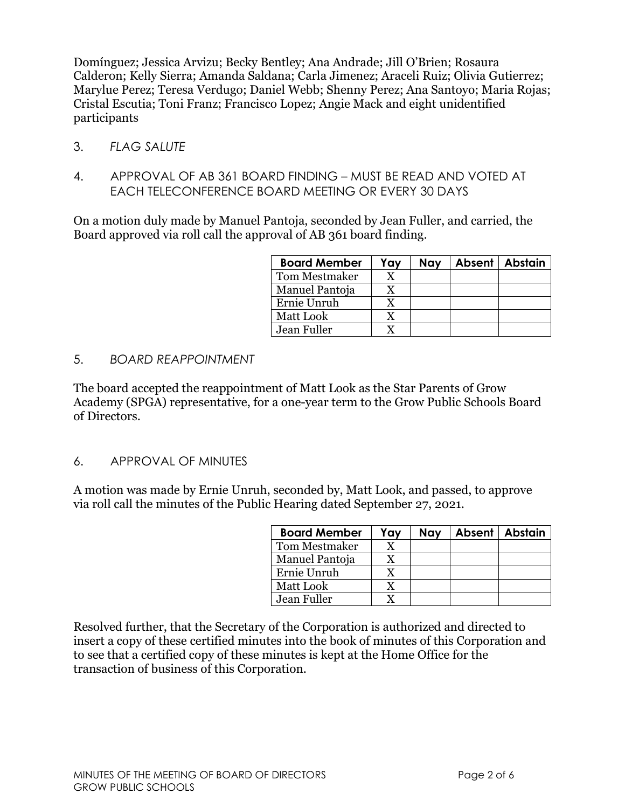Domínguez; Jessica Arvizu; Becky Bentley; Ana Andrade; Jill O'Brien; Rosaura Calderon; Kelly Sierra; Amanda Saldana; Carla Jimenez; Araceli Ruiz; Olivia Gutierrez; Marylue Perez; Teresa Verdugo; Daniel Webb; Shenny Perez; Ana Santoyo; Maria Rojas; Cristal Escutia; Toni Franz; Francisco Lopez; Angie Mack and eight unidentified participants

- 3. *FLAG SALUTE*
- 4. APPROVAL OF AB 361 BOARD FINDING MUST BE READ AND VOTED AT EACH TELECONFERENCE BOARD MEETING OR EVERY 30 DAYS

On a motion duly made by Manuel Pantoja, seconded by Jean Fuller, and carried, the Board approved via roll call the approval of AB 361 board finding.

| <b>Board Member</b>  | Yay | Nay | Absent   Abstain |
|----------------------|-----|-----|------------------|
| <b>Tom Mestmaker</b> |     |     |                  |
| Manuel Pantoja       |     |     |                  |
| Ernie Unruh          | v   |     |                  |
| Matt Look            |     |     |                  |
| Jean Fuller          |     |     |                  |

5. *BOARD REAPPOINTMENT*

The board accepted the reappointment of Matt Look as the Star Parents of Grow Academy (SPGA) representative, for a one-year term to the Grow Public Schools Board of Directors.

6. APPROVAL OF MINUTES

A motion was made by Ernie Unruh, seconded by, Matt Look, and passed, to approve via roll call the minutes of the Public Hearing dated September 27, 2021.

| <b>Board Member</b>  | Yay | Nay | Absent   Abstain |
|----------------------|-----|-----|------------------|
| <b>Tom Mestmaker</b> |     |     |                  |
| Manuel Pantoja       |     |     |                  |
| Ernie Unruh          |     |     |                  |
| Matt Look            |     |     |                  |
| Jean Fuller          |     |     |                  |

Resolved further, that the Secretary of the Corporation is authorized and directed to insert a copy of these certified minutes into the book of minutes of this Corporation and to see that a certified copy of these minutes is kept at the Home Office for the transaction of business of this Corporation.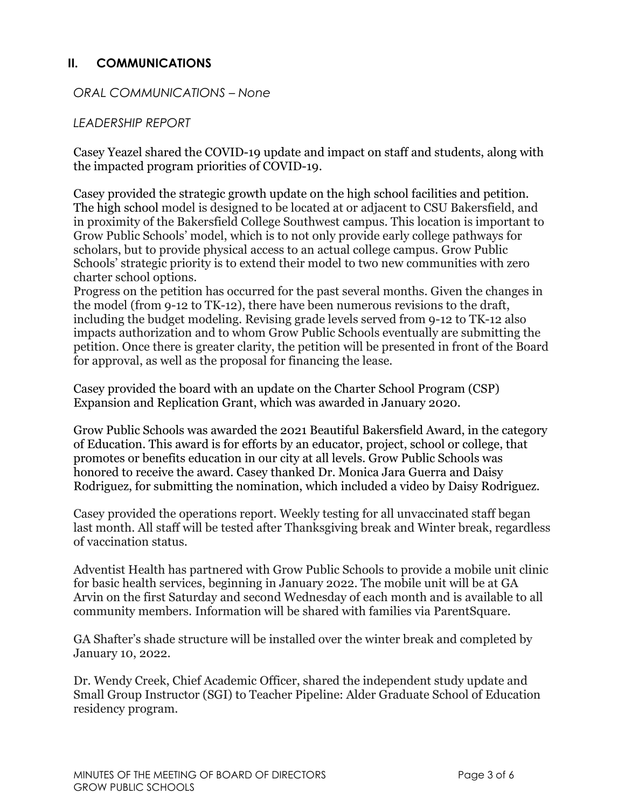# **II. COMMUNICATIONS**

*ORAL COMMUNICATIONS – None*

### *LEADERSHIP REPORT*

Casey Yeazel shared the COVID-19 update and impact on staff and students, along with the impacted program priorities of COVID-19.

Casey provided the strategic growth update on the high school facilities and petition. The high school model is designed to be located at or adjacent to CSU Bakersfield, and in proximity of the Bakersfield College Southwest campus. This location is important to Grow Public Schools' model, which is to not only provide early college pathways for scholars, but to provide physical access to an actual college campus. Grow Public Schools' strategic priority is to extend their model to two new communities with zero charter school options.

Progress on the petition has occurred for the past several months. Given the changes in the model (from 9-12 to TK-12), there have been numerous revisions to the draft, including the budget modeling. Revising grade levels served from 9-12 to TK-12 also impacts authorization and to whom Grow Public Schools eventually are submitting the petition. Once there is greater clarity, the petition will be presented in front of the Board for approval, as well as the proposal for financing the lease.

Casey provided the board with an update on the Charter School Program (CSP) Expansion and Replication Grant, which was awarded in January 2020.

Grow Public Schools was awarded the 2021 Beautiful Bakersfield Award, in the category of Education. This award is for efforts by an educator, project, school or college, that promotes or benefits education in our city at all levels. Grow Public Schools was honored to receive the award. Casey thanked Dr. Monica Jara Guerra and Daisy Rodriguez, for submitting the nomination, which included a video by Daisy Rodriguez.

Casey provided the operations report. Weekly testing for all unvaccinated staff began last month. All staff will be tested after Thanksgiving break and Winter break, regardless of vaccination status.

Adventist Health has partnered with Grow Public Schools to provide a mobile unit clinic for basic health services, beginning in January 2022. The mobile unit will be at GA Arvin on the first Saturday and second Wednesday of each month and is available to all community members. Information will be shared with families via ParentSquare.

GA Shafter's shade structure will be installed over the winter break and completed by January 10, 2022.

Dr. Wendy Creek, Chief Academic Officer, shared the independent study update and Small Group Instructor (SGI) to Teacher Pipeline: Alder Graduate School of Education residency program.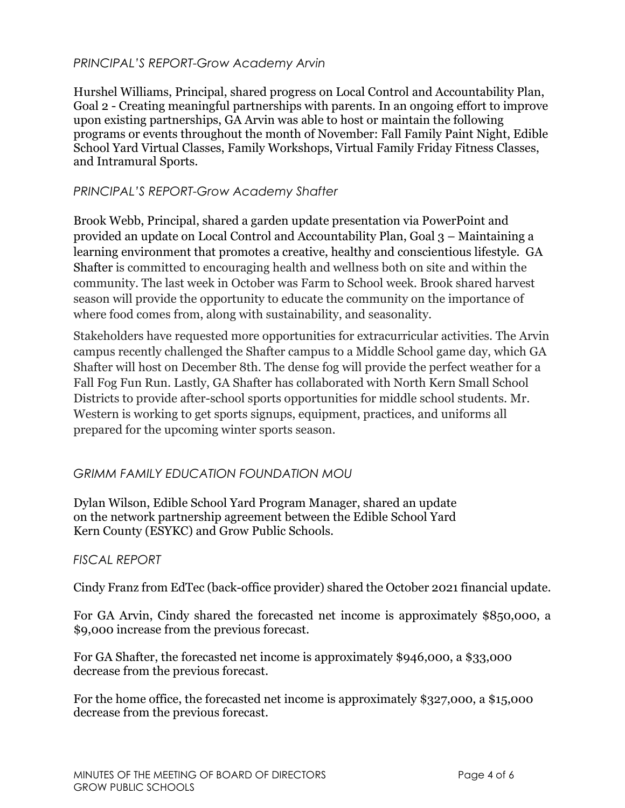# *PRINCIPAL'S REPORT-Grow Academy Arvin*

Hurshel Williams, Principal, shared progress on Local Control and Accountability Plan, Goal 2 - Creating meaningful partnerships with parents. In an ongoing effort to improve upon existing partnerships, GA Arvin was able to host or maintain the following programs or events throughout the month of November: Fall Family Paint Night, Edible School Yard Virtual Classes, Family Workshops, Virtual Family Friday Fitness Classes, and Intramural Sports.

### *PRINCIPAL'S REPORT-Grow Academy Shafter*

Brook Webb, Principal, shared a garden update presentation via PowerPoint and provided an update on Local Control and Accountability Plan, Goal 3 – Maintaining a learning environment that promotes a creative, healthy and conscientious lifestyle. GA Shafter is committed to encouraging health and wellness both on site and within the community. The last week in October was Farm to School week. Brook shared harvest season will provide the opportunity to educate the community on the importance of where food comes from, along with sustainability, and seasonality.

Stakeholders have requested more opportunities for extracurricular activities. The Arvin campus recently challenged the Shafter campus to a Middle School game day, which GA Shafter will host on December 8th. The dense fog will provide the perfect weather for a Fall Fog Fun Run. Lastly, GA Shafter has collaborated with North Kern Small School Districts to provide after-school sports opportunities for middle school students. Mr. Western is working to get sports signups, equipment, practices, and uniforms all prepared for the upcoming winter sports season.

# *GRIMM FAMILY EDUCATION FOUNDATION MOU*

Dylan Wilson, Edible School Yard Program Manager, shared an update on the network partnership agreement between the Edible School Yard Kern County (ESYKC) and Grow Public Schools.

#### *FISCAL REPORT*

Cindy Franz from EdTec (back-office provider) shared the October 2021 financial update.

For GA Arvin, Cindy shared the forecasted net income is approximately \$850,000, a \$9,000 increase from the previous forecast.

For GA Shafter, the forecasted net income is approximately \$946,000, a \$33,000 decrease from the previous forecast.

For the home office, the forecasted net income is approximately \$327,000, a \$15,000 decrease from the previous forecast.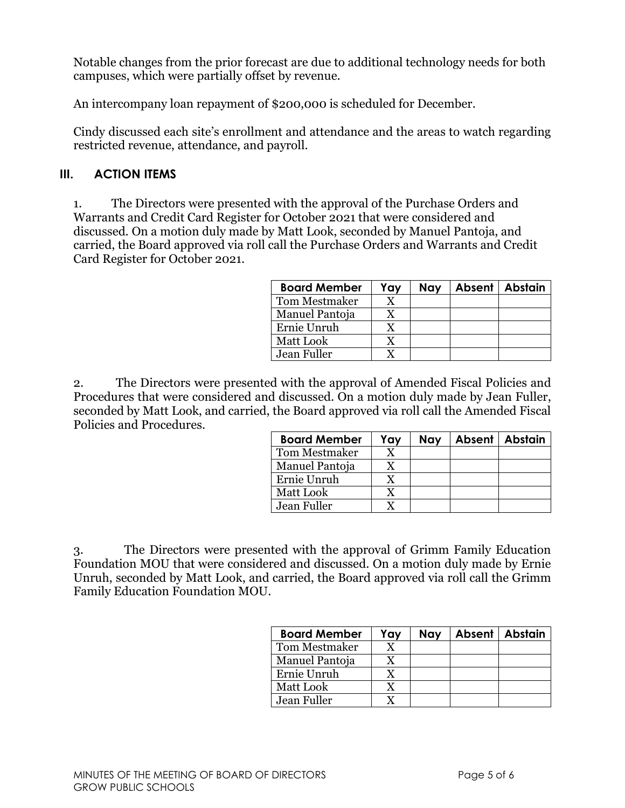Notable changes from the prior forecast are due to additional technology needs for both campuses, which were partially offset by revenue.

An intercompany loan repayment of \$200,000 is scheduled for December.

Cindy discussed each site's enrollment and attendance and the areas to watch regarding restricted revenue, attendance, and payroll.

#### **III. ACTION ITEMS**

1. The Directors were presented with the approval of the Purchase Orders and Warrants and Credit Card Register for October 2021 that were considered and discussed. On a motion duly made by Matt Look, seconded by Manuel Pantoja, and carried, the Board approved via roll call the Purchase Orders and Warrants and Credit Card Register for October 2021.

| <b>Board Member</b>  | Yay | Nay | Absent   Abstain |
|----------------------|-----|-----|------------------|
| <b>Tom Mestmaker</b> |     |     |                  |
| Manuel Pantoja       |     |     |                  |
| Ernie Unruh          |     |     |                  |
| Matt Look            |     |     |                  |
| Jean Fuller          |     |     |                  |

2. The Directors were presented with the approval of Amended Fiscal Policies and Procedures that were considered and discussed. On a motion duly made by Jean Fuller, seconded by Matt Look, and carried, the Board approved via roll call the Amended Fiscal Policies and Procedures.

| <b>Board Member</b>  | Yay | Nay | Absent   Abstain |
|----------------------|-----|-----|------------------|
| <b>Tom Mestmaker</b> |     |     |                  |
| Manuel Pantoja       |     |     |                  |
| Ernie Unruh          |     |     |                  |
| <b>Matt Look</b>     |     |     |                  |
| Jean Fuller          |     |     |                  |

3. The Directors were presented with the approval of Grimm Family Education Foundation MOU that were considered and discussed. On a motion duly made by Ernie Unruh, seconded by Matt Look, and carried, the Board approved via roll call the Grimm Family Education Foundation MOU.

| <b>Board Member</b> | Yay | Nay | Absent   Abstain |
|---------------------|-----|-----|------------------|
| Tom Mestmaker       |     |     |                  |
| Manuel Pantoja      |     |     |                  |
| Ernie Unruh         |     |     |                  |
| Matt Look           |     |     |                  |
| Jean Fuller         |     |     |                  |